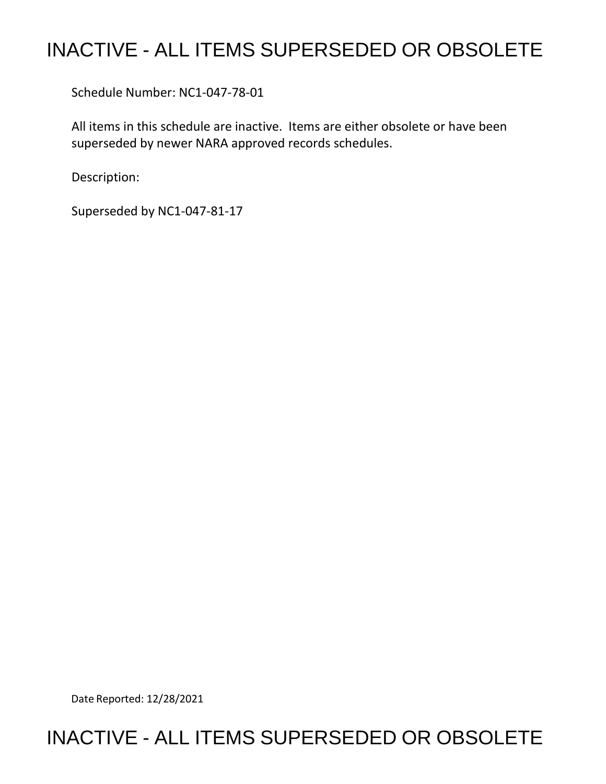## INACTIVE - ALL ITEMS SUPERSEDED OR OBSOLETE

Schedule Number: NC1-047-78-01

 All items in this schedule are inactive. Items are either obsolete or have been superseded by newer NARA approved records schedules.

Description:

Superseded by NC1-047-81-17

Date Reported: 12/28/2021

## INACTIVE - ALL ITEMS SUPERSEDED OR OBSOLETE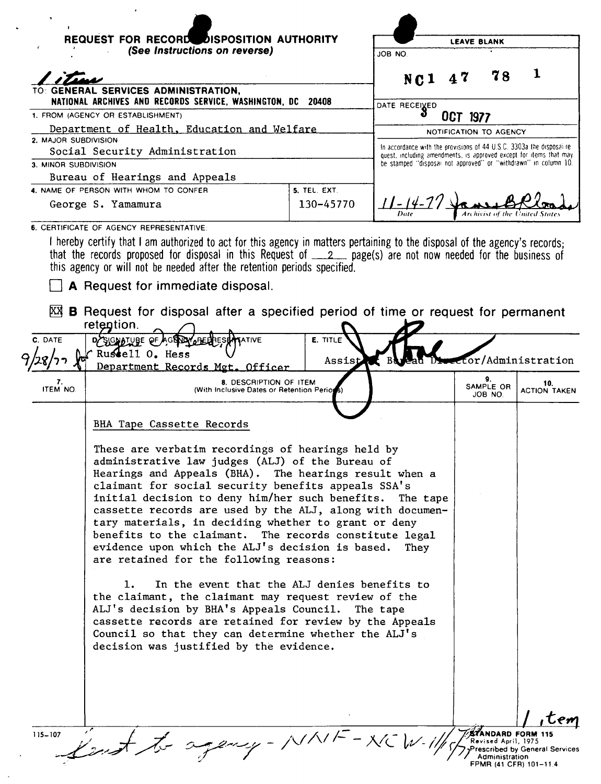|                      | REQUEST FOR RECORD DISPOSITION AUTHORITY<br>(See Instructions on reverse)                                                                                                                                                                                                                                                                                                                                                                                                                                                  |              |                                                                                                                                       | <b>LEAVE BLANK</b>     |                            |                            |
|----------------------|----------------------------------------------------------------------------------------------------------------------------------------------------------------------------------------------------------------------------------------------------------------------------------------------------------------------------------------------------------------------------------------------------------------------------------------------------------------------------------------------------------------------------|--------------|---------------------------------------------------------------------------------------------------------------------------------------|------------------------|----------------------------|----------------------------|
|                      |                                                                                                                                                                                                                                                                                                                                                                                                                                                                                                                            |              | JOB NO.                                                                                                                               |                        |                            |                            |
|                      |                                                                                                                                                                                                                                                                                                                                                                                                                                                                                                                            |              | NC <sub>1</sub>                                                                                                                       | 47                     | 78                         |                            |
|                      | TO: GENERAL SERVICES ADMINISTRATION,<br>NATIONAL ARCHIVES AND RECORDS SERVICE, WASHINGTON, DC                                                                                                                                                                                                                                                                                                                                                                                                                              | 20408        |                                                                                                                                       |                        |                            |                            |
|                      | 1. FROM (AGENCY OR ESTABLISHMENT)                                                                                                                                                                                                                                                                                                                                                                                                                                                                                          |              | DATE RECEIVED                                                                                                                         | OCT 1977               |                            |                            |
|                      | Department of Health, Education and Welfare                                                                                                                                                                                                                                                                                                                                                                                                                                                                                |              |                                                                                                                                       | NOTIFICATION TO AGENCY |                            |                            |
| 2. MAJOR SUBDIVISION | Social Security Administration                                                                                                                                                                                                                                                                                                                                                                                                                                                                                             |              | In accordance with the provisions of 44 U.S.C. 3303a the disposal re-                                                                 |                        |                            |                            |
| 3. MINOR SUBDIVISION |                                                                                                                                                                                                                                                                                                                                                                                                                                                                                                                            |              | quest, including amendments, is approved except for items that may<br>be stamped "disposal not approved" or "withdrawn" in column 10. |                        |                            |                            |
|                      | Bureau of Hearings and Appeals                                                                                                                                                                                                                                                                                                                                                                                                                                                                                             |              |                                                                                                                                       |                        |                            |                            |
|                      | 4. NAME OF PERSON WITH WHOM TO CONFER                                                                                                                                                                                                                                                                                                                                                                                                                                                                                      | 5. TEL. EXT. |                                                                                                                                       |                        |                            |                            |
|                      | George S. Yamamura                                                                                                                                                                                                                                                                                                                                                                                                                                                                                                         | 130-45770    | <u> -</u>   4-7                                                                                                                       |                        | Archivist of the           |                            |
|                      | 6. CERTIFICATE OF AGENCY REPRESENTATIVE                                                                                                                                                                                                                                                                                                                                                                                                                                                                                    |              |                                                                                                                                       |                        |                            |                            |
| C. DATE              | <b>ATIVE</b><br>DYSIGNATUBE QF<br>Russell O. Hess                                                                                                                                                                                                                                                                                                                                                                                                                                                                          | E. TITLE     |                                                                                                                                       |                        |                            | ector/Administration       |
|                      |                                                                                                                                                                                                                                                                                                                                                                                                                                                                                                                            | Assist       |                                                                                                                                       |                        |                            |                            |
| 7.                   | Department Records Met. Officer<br>8. DESCRIPTION OF ITEM<br>(With Inclusive Dates or Retention Periods)                                                                                                                                                                                                                                                                                                                                                                                                                   |              |                                                                                                                                       |                        | 9.<br>SAMPLE OR<br>JOB NO. | 10.<br><b>ACTION TAKEN</b> |
|                      | BHA Tape Cassette Records                                                                                                                                                                                                                                                                                                                                                                                                                                                                                                  |              |                                                                                                                                       |                        |                            |                            |
| <b>ITEM NO</b>       | These are verbatim recordings of hearings held by<br>administrative law judges (ALJ) of the Bureau of<br>Hearings and Appeals (BHA). The hearings result when a<br>claimant for social security benefits appeals SSA's<br>initial decision to deny him/her such benefits. The tape<br>cassette records are used by the ALJ, along with documen-<br>tary materials, in deciding whether to grant or deny<br>benefits to the claimant. The records constitute legal<br>evidence upon which the ALJ's decision is based. They |              |                                                                                                                                       |                        |                            |                            |

ı Cem

THE TRANSPORT OF THE TRANSPORT OF THE TRANSPORT OF THE TRANSPORT OF THE TRANSPORT OF THE TRANSPORT OF THE TRANSPORT OF THE TRANSPORT OF THE TRANSPORT OF THE TRANSPORT OF THE TRANSPORT OF THE TRANSPORT OF THE TRANSPORT OF T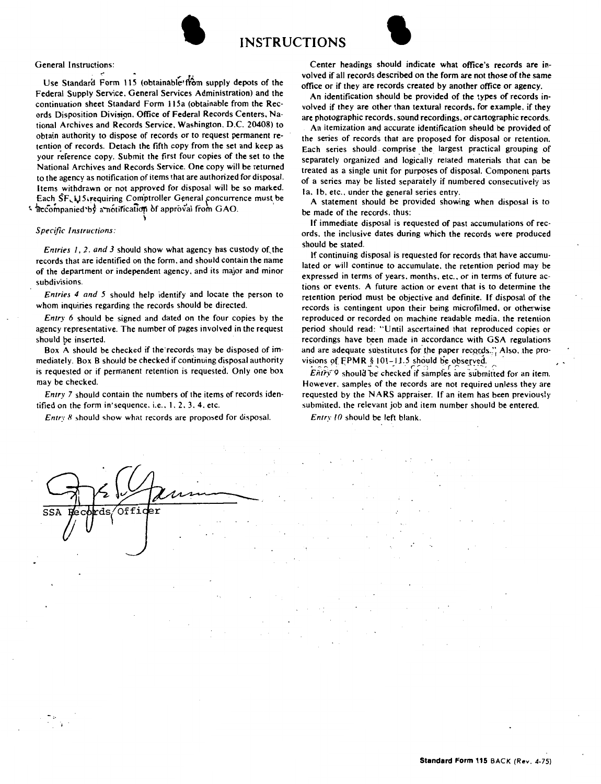



Federal Supply Service. General Services Administration) and the continuation sheet Standard Form 115a (obtainable from the Records Disposition Division. Office of Federal Records Centers, National Archives and Records Service. Washington. D.C. 20408) to obtain authority to dispose of records or to request permanent retention of records. Detach the fifth copy from the set and keep as your reference copy. Submit the first four copies of the set to the National Archives and Records Service. One copy will be returned to the agency as notification of items that are authorized for disposal. Items withdrawn or not approved for disposal will be so marked. Each SF. Li 5. requiring Comptroller General concurrence must be  $\frac{1}{2}$  accompanied by a notification of approval from GAO.

## *Specific Instructions:*

*Entries 1, 2, and 3 should show what agency has custody of the* records that are identified on the form. and should contain the name of the department or independent agency. and its major and minor subdivisions.

\

*Entries 4 and 5* should help identify and locate the person to whom inquiries regarding the records should be directed.

*Entry 6* should be signed and dated on the four copies by the agency representative. The number of pages involved in the request should be inserted.

Box A should be checked if the records may be disposed of immediately. Box B should be checked if continuing disposal authority is requested or if permanent retention is requested. Only one box may be checked.

*Entry* 7 should contain the numbers of the items of records identified on the form in'sequence. i.e., 1, 2, 3, 4, etc.

*Entry X* should show what records are proposed for disposal.

Center headings should indicate what office's records are involved if all records described on the form are not those of the same office or if they are records created by another office or agency.

An identification should be provided of the types of records involved if they are other than textural records. for example, if they are photographic records, sound recordings. or cartographic records.

An itemization and accurate identification sheuld be provided of the series of records that are proposed for disposal or retention. Each series should comprise the largest practical grouping of separately organized and logically related materials that can be treated as a single unit for purposes of disposal. Component parts of a series may be listed separately if numbered consecutively as Ia. 1b, etc., under the general series entry.

A statement should be provided showing when disposal is to be made of the records. thus:

If immediate disposal is requested of past accumulations of records. the inclusive dates during which the records were produced should be stated.

If continuing disposal is requested for records that have accumulated or will continue to accumulate. the retention period may **be**  expressed in terms of years. months. etc.. or in terms of future actions or events. A future action or event that is to determine the retention period must be objective and definite. If disposal of the records is contingent upon their being microfilmed. or otherwise reproduced or recorded on machine readable media. the retention period should read: "Until ascertained that reproduced copies or recordings have been made in accordance with GSA regulations and are adequate substitutes for the paper records." Also, the provisions of FPMR § 101-11.5 should be observed.<br>*Entry 9* should be checked if samples are submitted for an item.

However. samples of the records are not required unless they are requested by the NARS appraiser. If an item has been previously submitted. the relevant job and item number should be entered.

*Entry JO* should be left blank.

Offi